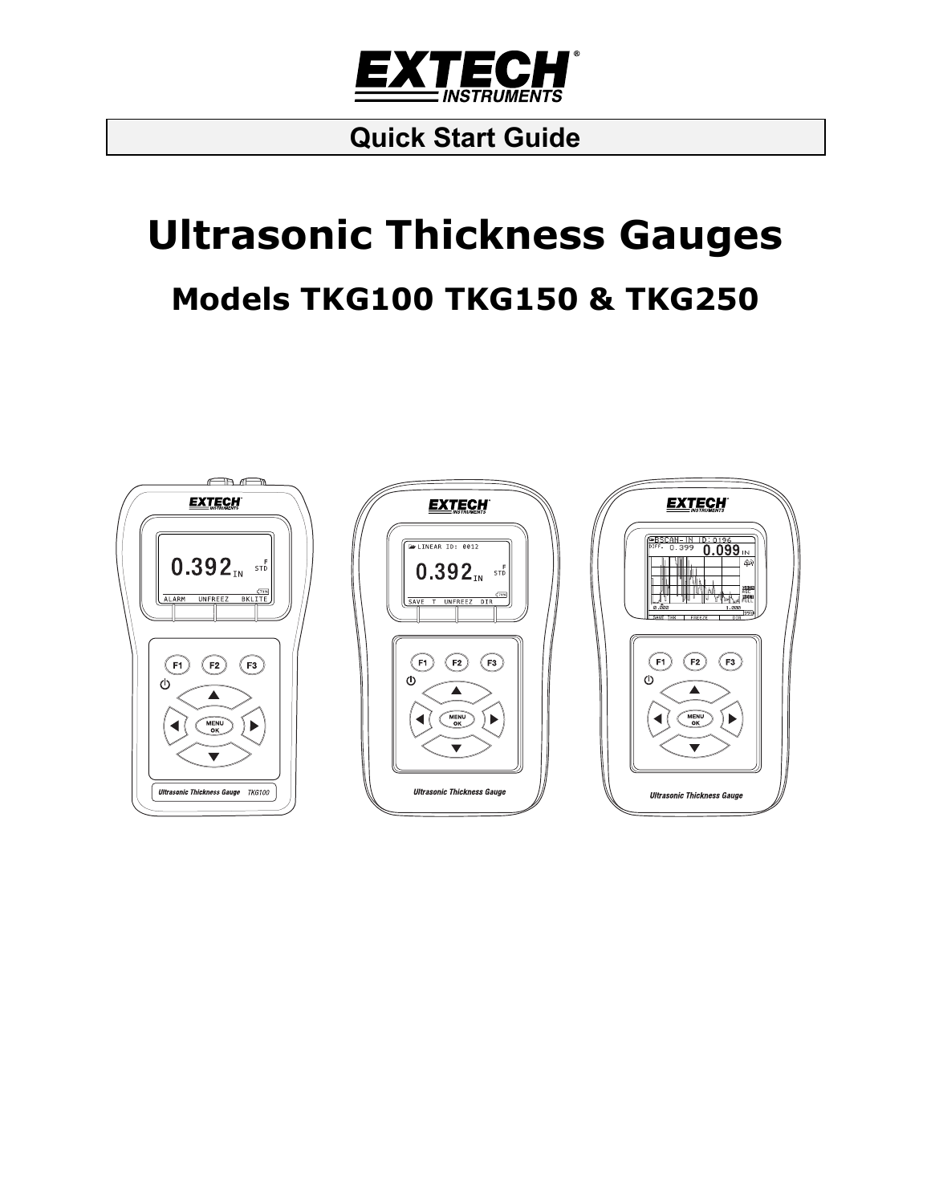

## **Quick Start Guide**

# **Ultrasonic Thickness Gauges Models TKG100 TKG150 & TKG250**

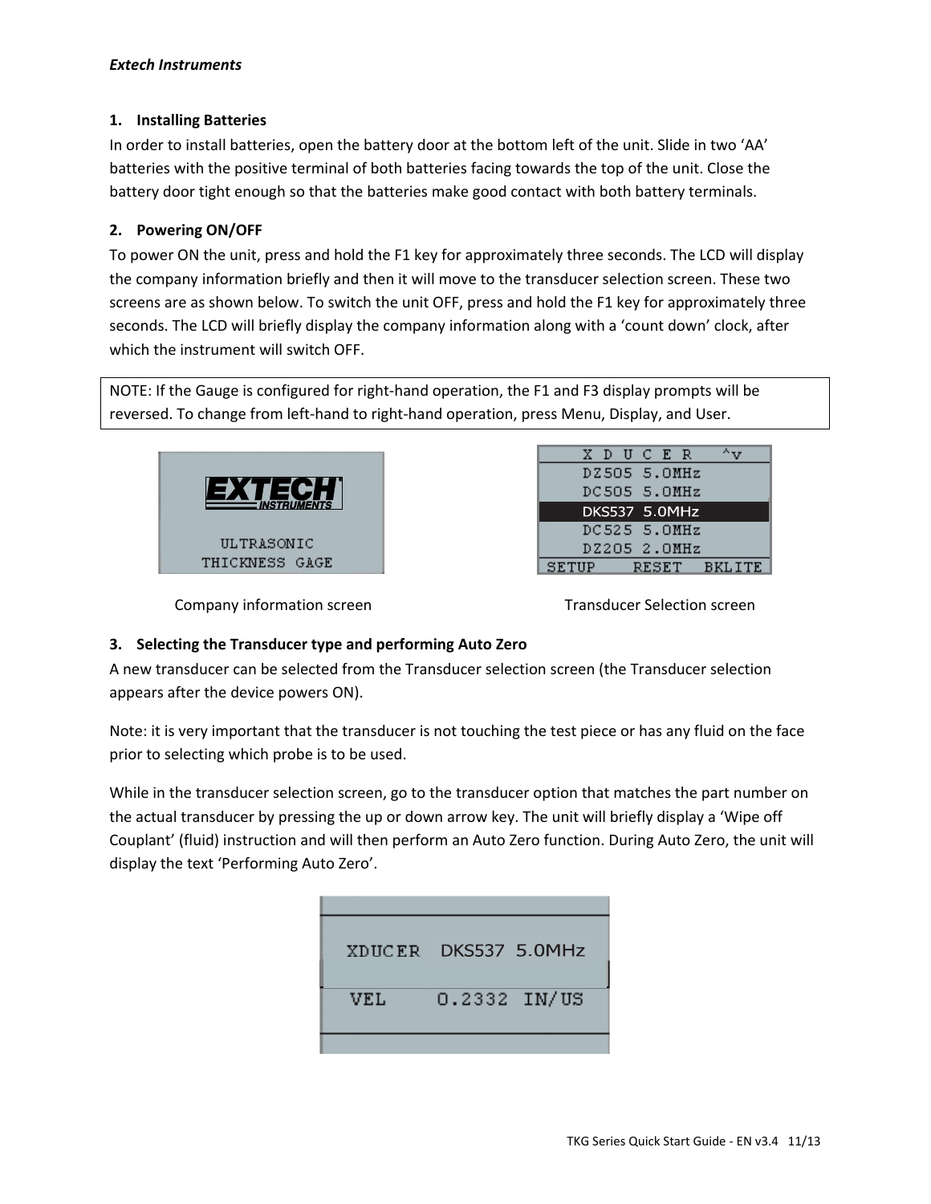#### *Extech Instruments*

#### **1. Installing Batteries**

In order to install batteries, open the battery door at the bottom left of the unit. Slide in two 'AA' batteries with the positive terminal of both batteries facing towards the top of the unit. Close the battery door tight enough so that the batteries make good contact with both battery terminals.

#### **2. Powering ON/OFF**

To power ON the unit, press and hold the F1 key for approximately three seconds. The LCD will display the company information briefly and then it will move to the transducer selection screen. These two screens are as shown below. To switch the unit OFF, press and hold the F1 key for approximately three seconds. The LCD will briefly display the company information along with a 'count down' clock, after which the instrument will switch OFF.

NOTE: If the Gauge is configured for right‐hand operation, the F1 and F3 display prompts will be reversed. To change from left-hand to right-hand operation, press Menu, Display, and User.



| X D U C E R           |
|-----------------------|
| DZ505 5.0MHz          |
| DC505 5.0MHz          |
| <b>DKS537 5.0MHz</b>  |
| $DC525$ 5.0MHz        |
| DZ205 2.0MHz          |
| RESET BKLITE<br>SETUP |

Company information screen **by Exercise Selection** Screen **Transducer Selection screen** 

### **3. Selecting the Transducer type and performing Auto Zero**

A new transducer can be selected from the Transducer selection screen (the Transducer selection appears after the device powers ON).

Note: it is very important that the transducer is not touching the test piece or has any fluid on the face prior to selecting which probe is to be used.

While in the transducer selection screen, go to the transducer option that matches the part number on the actual transducer by pressing the up or down arrow key. The unit will briefly display a 'Wipe off Couplant' (fluid) instruction and will then perform an Auto Zero function. During Auto Zero, the unit will display the text 'Performing Auto Zero'.